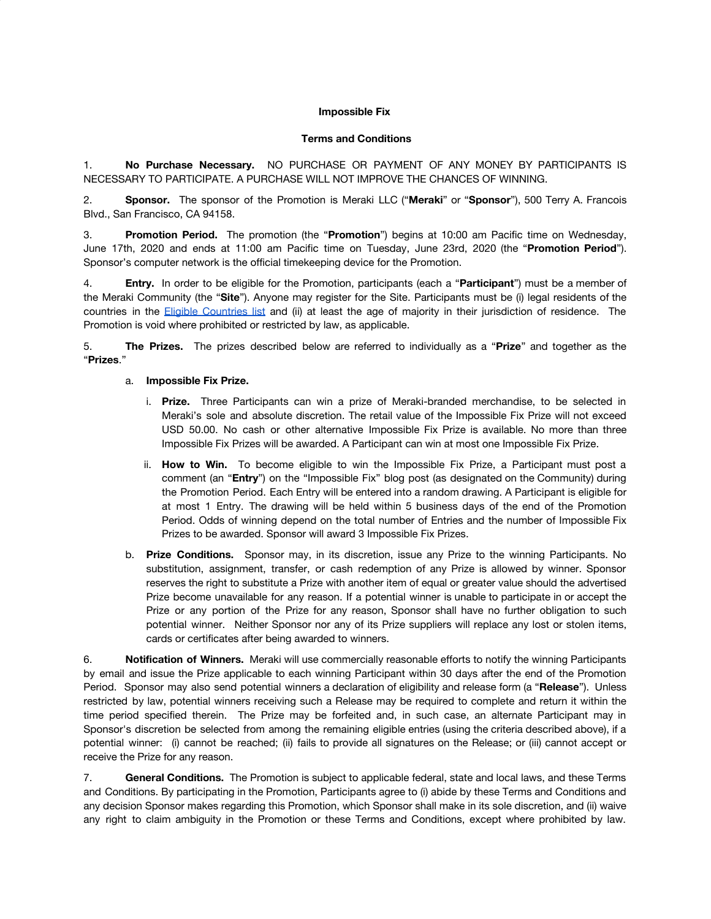## **Impossible Fix**

## **Terms and Conditions**

1. **No Purchase Necessary.** NO PURCHASE OR PAYMENT OF ANY MONEY BY PARTICIPANTS IS NECESSARY TO PARTICIPATE. A PURCHASE WILL NOT IMPROVE THE CHANCES OF WINNING.

2. **Sponsor.** The sponsor of the Promotion is Meraki LLC ("**Meraki**" or "**Sponsor**"), 500 Terry A. Francois Blvd., San Francisco, CA 94158.

3. **Promotion Period.** The promotion (the "**Promotion**") begins at 10:00 am Pacific time on Wednesday, June 17th, 2020 and ends at 11:00 am Pacific time on Tuesday, June 23rd, 2020 (the "**Promotion Period**"). Sponsor's computer network is the official timekeeping device for the Promotion.

4. **Entry.** In order to be eligible for the Promotion, participants (each a "**Participant**") must be a member of the Meraki Community (the "**Site**"). Anyone may register for the Site. Participants must be (i) legal residents of the countries in the Eligible [Countries](https://community.meraki.com/t5/Terms-Conditions/Eligible-Countries-List/ba-p/5069/jump-to/first-unread-message) list and (ii) at least the age of majority in their jurisdiction of residence. The Promotion is void where prohibited or restricted by law, as applicable.

5. **The Prizes.** The prizes described below are referred to individually as a "**Prize**" and together as the "**Prizes**."

## a. **Impossible Fix Prize.**

- i. **Prize.** Three Participants can win a prize of Meraki-branded merchandise, to be selected in Meraki's sole and absolute discretion. The retail value of the Impossible Fix Prize will not exceed USD 50.00. No cash or other alternative Impossible Fix Prize is available. No more than three Impossible Fix Prizes will be awarded. A Participant can win at most one Impossible Fix Prize.
- ii. **How to Win.** To become eligible to win the Impossible Fix Prize, a Participant must post a comment (an "**Entry**") on the "Impossible Fix" blog post (as designated on the Community) during the Promotion Period. Each Entry will be entered into a random drawing. A Participant is eligible for at most 1 Entry. The drawing will be held within 5 business days of the end of the Promotion Period. Odds of winning depend on the total number of Entries and the number of Impossible Fix Prizes to be awarded. Sponsor will award 3 Impossible Fix Prizes.
- b. **Prize Conditions.** Sponsor may, in its discretion, issue any Prize to the winning Participants. No substitution, assignment, transfer, or cash redemption of any Prize is allowed by winner. Sponsor reserves the right to substitute a Prize with another item of equal or greater value should the advertised Prize become unavailable for any reason. If a potential winner is unable to participate in or accept the Prize or any portion of the Prize for any reason, Sponsor shall have no further obligation to such potential winner. Neither Sponsor nor any of its Prize suppliers will replace any lost or stolen items, cards or certificates after being awarded to winners.

6. **Notification of Winners.** Meraki will use commercially reasonable efforts to notify the winning Participants by email and issue the Prize applicable to each winning Participant within 30 days after the end of the Promotion Period. Sponsor may also send potential winners a declaration of eligibility and release form (a "**Release**"). Unless restricted by law, potential winners receiving such a Release may be required to complete and return it within the time period specified therein. The Prize may be forfeited and, in such case, an alternate Participant may in Sponsor's discretion be selected from among the remaining eligible entries (using the criteria described above), if a potential winner: (i) cannot be reached; (ii) fails to provide all signatures on the Release; or (iii) cannot accept or receive the Prize for any reason.

7. **General Conditions.** The Promotion is subject to applicable federal, state and local laws, and these Terms and Conditions. By participating in the Promotion, Participants agree to (i) abide by these Terms and Conditions and any decision Sponsor makes regarding this Promotion, which Sponsor shall make in its sole discretion, and (ii) waive any right to claim ambiguity in the Promotion or these Terms and Conditions, except where prohibited by law.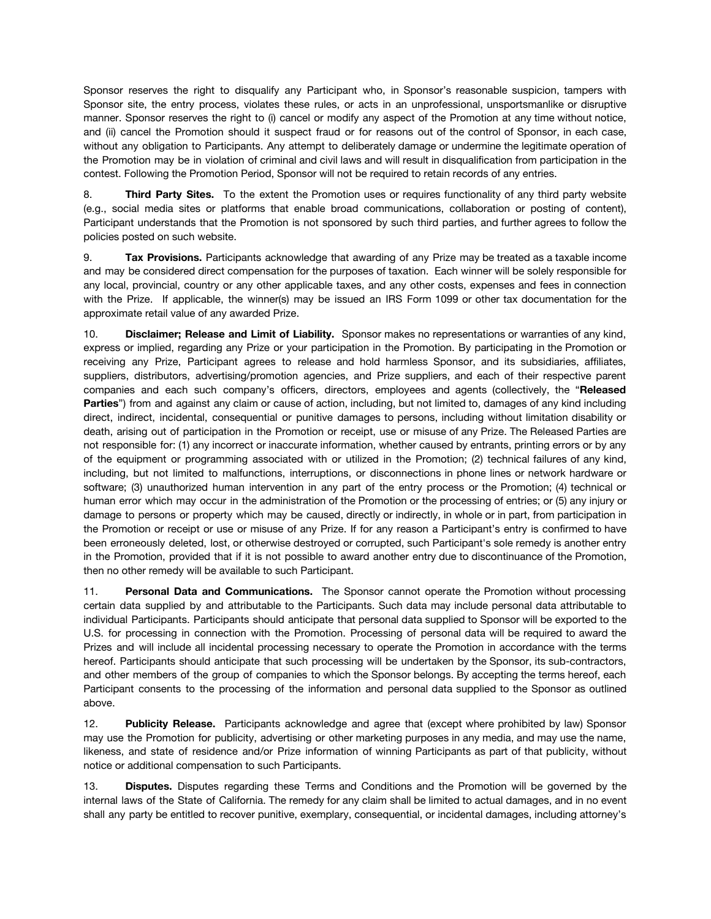Sponsor reserves the right to disqualify any Participant who, in Sponsor's reasonable suspicion, tampers with Sponsor site, the entry process, violates these rules, or acts in an unprofessional, unsportsmanlike or disruptive manner. Sponsor reserves the right to (i) cancel or modify any aspect of the Promotion at any time without notice, and (ii) cancel the Promotion should it suspect fraud or for reasons out of the control of Sponsor, in each case, without any obligation to Participants. Any attempt to deliberately damage or undermine the legitimate operation of the Promotion may be in violation of criminal and civil laws and will result in disqualification from participation in the contest. Following the Promotion Period, Sponsor will not be required to retain records of any entries.

8. **Third Party Sites.** To the extent the Promotion uses or requires functionality of any third party website (e.g., social media sites or platforms that enable broad communications, collaboration or posting of content), Participant understands that the Promotion is not sponsored by such third parties, and further agrees to follow the policies posted on such website.

9. **Tax Provisions.** Participants acknowledge that awarding of any Prize may be treated as a taxable income and may be considered direct compensation for the purposes of taxation. Each winner will be solely responsible for any local, provincial, country or any other applicable taxes, and any other costs, expenses and fees in connection with the Prize. If applicable, the winner(s) may be issued an IRS Form 1099 or other tax documentation for the approximate retail value of any awarded Prize.

10. **Disclaimer; Release and Limit of Liability.** Sponsor makes no representations or warranties of any kind, express or implied, regarding any Prize or your participation in the Promotion. By participating in the Promotion or receiving any Prize, Participant agrees to release and hold harmless Sponsor, and its subsidiaries, affiliates, suppliers, distributors, advertising/promotion agencies, and Prize suppliers, and each of their respective parent companies and each such company's officers, directors, employees and agents (collectively, the "**Released Parties**") from and against any claim or cause of action, including, but not limited to, damages of any kind including direct, indirect, incidental, consequential or punitive damages to persons, including without limitation disability or death, arising out of participation in the Promotion or receipt, use or misuse of any Prize. The Released Parties are not responsible for: (1) any incorrect or inaccurate information, whether caused by entrants, printing errors or by any of the equipment or programming associated with or utilized in the Promotion; (2) technical failures of any kind, including, but not limited to malfunctions, interruptions, or disconnections in phone lines or network hardware or software; (3) unauthorized human intervention in any part of the entry process or the Promotion; (4) technical or human error which may occur in the administration of the Promotion or the processing of entries; or (5) any injury or damage to persons or property which may be caused, directly or indirectly, in whole or in part, from participation in the Promotion or receipt or use or misuse of any Prize. If for any reason a Participant's entry is confirmed to have been erroneously deleted, lost, or otherwise destroyed or corrupted, such Participant's sole remedy is another entry in the Promotion, provided that if it is not possible to award another entry due to discontinuance of the Promotion, then no other remedy will be available to such Participant.

11. **Personal Data and Communications.** The Sponsor cannot operate the Promotion without processing certain data supplied by and attributable to the Participants. Such data may include personal data attributable to individual Participants. Participants should anticipate that personal data supplied to Sponsor will be exported to the U.S. for processing in connection with the Promotion. Processing of personal data will be required to award the Prizes and will include all incidental processing necessary to operate the Promotion in accordance with the terms hereof. Participants should anticipate that such processing will be undertaken by the Sponsor, its sub-contractors, and other members of the group of companies to which the Sponsor belongs. By accepting the terms hereof, each Participant consents to the processing of the information and personal data supplied to the Sponsor as outlined above.

12. **Publicity Release.** Participants acknowledge and agree that (except where prohibited by law) Sponsor may use the Promotion for publicity, advertising or other marketing purposes in any media, and may use the name, likeness, and state of residence and/or Prize information of winning Participants as part of that publicity, without notice or additional compensation to such Participants.

13. **Disputes.** Disputes regarding these Terms and Conditions and the Promotion will be governed by the internal laws of the State of California. The remedy for any claim shall be limited to actual damages, and in no event shall any party be entitled to recover punitive, exemplary, consequential, or incidental damages, including attorney's